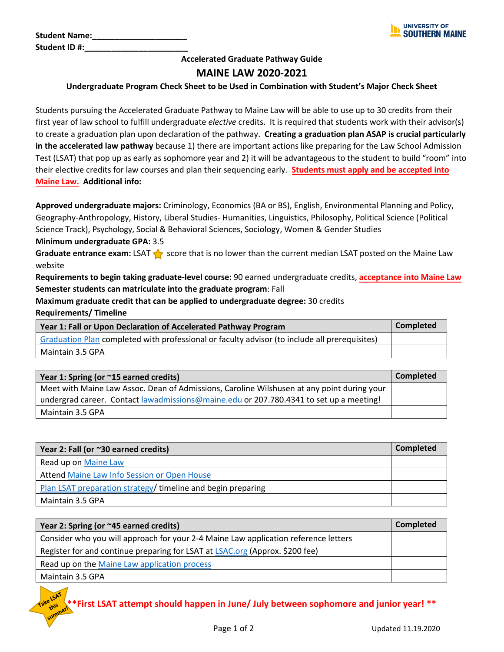| <b>Student Name:</b> |  |
|----------------------|--|
| Student ID#:         |  |

## **Accelerated Graduate Pathway Guide MAINE LAW 2020-2021**

## **Undergraduate Program Check Sheet to be Used in Combination with Student's Major Check Sheet**

Students pursuing the Accelerated Graduate Pathway to Maine Law will be able to use up to 30 credits from their first year of law school to fulfill undergraduate *elective* credits. It is required that students work with their advisor(s) to create a graduation plan upon declaration of the pathway. **Creating a graduation plan ASAP is crucial particularly in the accelerated law pathway** because 1) there are important actions like preparing for the Law School Admission Test (LSAT) that pop up as early as sophomore year and 2) it will be advantageous to the student to build "room" into their elective credits for law courses and plan their sequencing early. **Students must apply and be accepted into Maine Law. Additional info:** 

**Approved undergraduate majors:** Criminology, Economics (BA or BS), English, Environmental Planning and Policy, Geography-Anthropology, History, Liberal Studies- Humanities, Linguistics, Philosophy, Political Science (Political Science Track), Psychology, Social & Behavioral Sciences, Sociology, Women & Gender Studies

**Minimum undergraduate GPA:** 3.5

**Graduate entrance exam:** LSAT score that is no lower than the current median LSAT posted on the Maine Law website

**Requirements to begin taking graduate-level course:** 90 earned undergraduate credits, **acceptance into Maine Law Semester students can matriculate into the graduate program**: Fall

**Maximum graduate credit that can be applied to undergraduate degree:** 30 credits

| <b>Requirements/Timeline</b> |  |
|------------------------------|--|
|------------------------------|--|

| Year 1: Fall or Upon Declaration of Accelerated Pathway Program                               | <b>Completed</b> |
|-----------------------------------------------------------------------------------------------|------------------|
| Graduation Plan completed with professional or faculty advisor (to include all prerequisites) |                  |
| Maintain 3.5 GPA                                                                              |                  |

| Year 1: Spring (or ~15 earned credits)                                                     | <b>Completed</b> |
|--------------------------------------------------------------------------------------------|------------------|
| Meet with Maine Law Assoc. Dean of Admissions, Caroline Wilshusen at any point during your |                  |
| undergrad career. Contact lawadmissions@maine.edu or 207.780.4341 to set up a meeting!     |                  |
| Maintain 3.5 GPA                                                                           |                  |

| Year 2: Fall (or ~30 earned credits)                        | Completed |
|-------------------------------------------------------------|-----------|
| Read up on Maine Law                                        |           |
| Attend Maine Law Info Session or Open House                 |           |
| Plan LSAT preparation strategy/timeline and begin preparing |           |
| Maintain 3.5 GPA                                            |           |

| Year 2: Spring (or ~45 earned credits)                                              | <b>Completed</b> |
|-------------------------------------------------------------------------------------|------------------|
| Consider who you will approach for your 2-4 Maine Law application reference letters |                  |
| Register for and continue preparing for LSAT at LSAC.org (Approx. \$200 fee)        |                  |
| Read up on the Maine Law application process                                        |                  |
| Maintain 3.5 GPA                                                                    |                  |

**\*\*First LSAT attempt should happen in June/ July between sophomore and junior year! \*\***